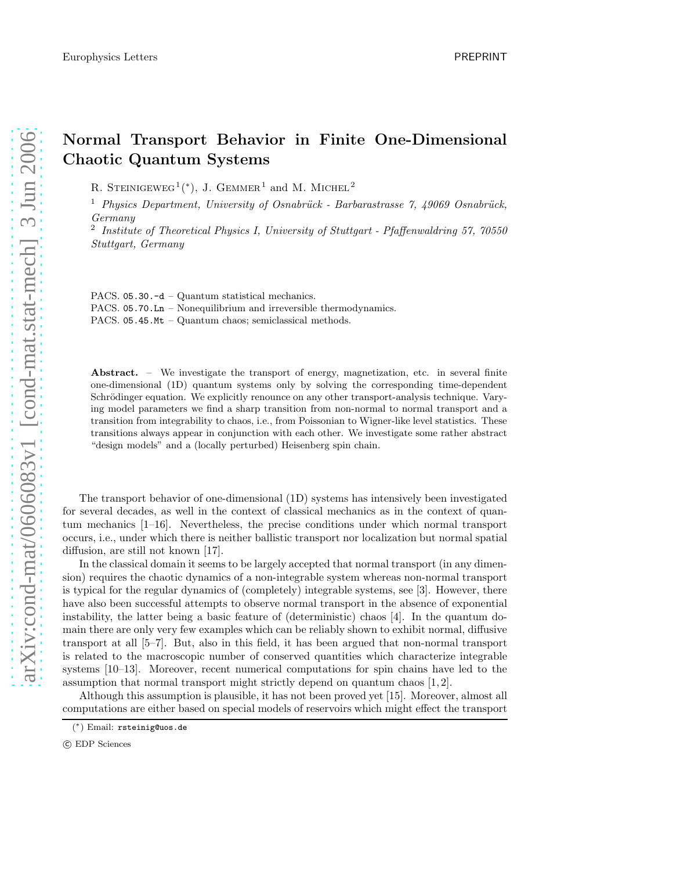## Normal Transport Behavior in Finite One-Dimensional Chaotic Quantum Systems

R. STEINIGEWEG<sup>1</sup><sup>(\*)</sup>, J. GEMMER<sup>1</sup> and M. MICHEL<sup>2</sup>

<sup>1</sup> Physics Department, University of Osnabrück - Barbarastrasse 7, 49069 Osnabrück, Germany

<sup>2</sup> Institute of Theoretical Physics I, University of Stuttgart - Pfaffenwaldring 57, 70550 Stuttgart, Germany

PACS. 05.30.-d – Quantum statistical mechanics. PACS. 05.70.Ln – Nonequilibrium and irreversible thermodynamics. PACS. 05.45.Mt – Quantum chaos; semiclassical methods.

Abstract. – We investigate the transport of energy, magnetization, etc. in several finite one-dimensional (1D) quantum systems only by solving the corresponding time-dependent Schrödinger equation. We explicitly renounce on any other transport-analysis technique. Varying model parameters we find a sharp transition from non-normal to normal transport and a transition from integrability to chaos, i.e., from Poissonian to Wigner-like level statistics. These transitions always appear in conjunction with each other. We investigate some rather abstract "design models" and a (locally perturbed) Heisenberg spin chain.

The transport behavior of one-dimensional (1D) systems has intensively been investigated for several decades, as well in the context of classical mechanics as in the context of quantum mechanics [1–16]. Nevertheless, the precise conditions under which normal transport occurs, i.e., under which there is neither ballistic transport nor localization but normal spatial diffusion, are still not known [17].

In the classical domain it seems to be largely accepted that normal transport (in any dimension) requires the chaotic dynamics of a non-integrable system whereas non-normal transport is typical for the regular dynamics of (completely) integrable systems, see [3]. However, there have also been successful attempts to observe normal transport in the absence of exponential instability, the latter being a basic feature of (deterministic) chaos [4]. In the quantum domain there are only very few examples which can be reliably shown to exhibit normal, diffusive transport at all [5–7]. But, also in this field, it has been argued that non-normal transport is related to the macroscopic number of conserved quantities which characterize integrable systems [10–13]. Moreover, recent numerical computations for spin chains have led to the assumption that normal transport might strictly depend on quantum chaos  $[1, 2]$ .

Although this assumption is plausible, it has not been proved yet [15]. Moreover, almost all computations are either based on special models of reservoirs which might effect the transport

<sup>(</sup> ∗ ) Email: rsteinig@uos.de

c EDP Sciences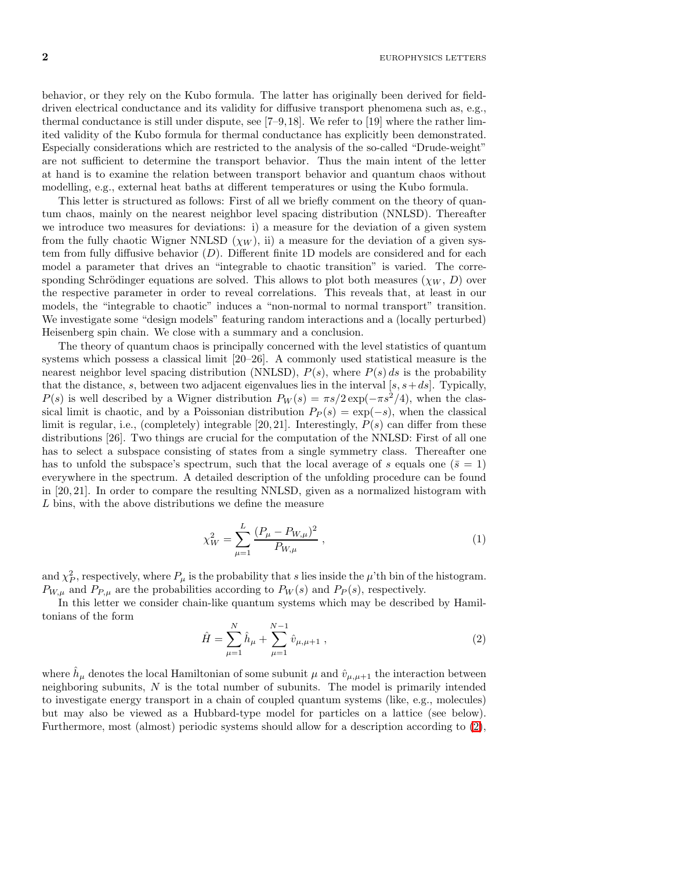$2$  EUROPHYSICS LETTERS

behavior, or they rely on the Kubo formula. The latter has originally been derived for fielddriven electrical conductance and its validity for diffusive transport phenomena such as, e.g., thermal conductance is still under dispute, see  $[7-9,18]$ . We refer to  $[19]$  where the rather limited validity of the Kubo formula for thermal conductance has explicitly been demonstrated. Especially considerations which are restricted to the analysis of the so-called "Drude-weight" are not sufficient to determine the transport behavior. Thus the main intent of the letter at hand is to examine the relation between transport behavior and quantum chaos without modelling, e.g., external heat baths at different temperatures or using the Kubo formula.

This letter is structured as follows: First of all we briefly comment on the theory of quantum chaos, mainly on the nearest neighbor level spacing distribution (NNLSD). Thereafter we introduce two measures for deviations: i) a measure for the deviation of a given system from the fully chaotic Wigner NNLSD  $(\chi_W)$ , ii) a measure for the deviation of a given system from fully diffusive behavior (D). Different finite 1D models are considered and for each model a parameter that drives an "integrable to chaotic transition" is varied. The corresponding Schrödinger equations are solved. This allows to plot both measures  $(\chi_W, D)$  over the respective parameter in order to reveal correlations. This reveals that, at least in our models, the "integrable to chaotic" induces a "non-normal to normal transport" transition. We investigate some "design models" featuring random interactions and a (locally perturbed) Heisenberg spin chain. We close with a summary and a conclusion.

The theory of quantum chaos is principally concerned with the level statistics of quantum systems which possess a classical limit [20–26]. A commonly used statistical measure is the nearest neighbor level spacing distribution (NNLSD),  $P(s)$ , where  $P(s) ds$  is the probability that the distance, s, between two adjacent eigenvalues lies in the interval  $[s, s+ds]$ . Typically,  $P(s)$  is well described by a Wigner distribution  $P_W(s) = \pi s/2 \exp(-\pi s^2/4)$ , when the classical limit is chaotic, and by a Poissonian distribution  $P_P(s) = \exp(-s)$ , when the classical limit is regular, i.e., (completely) integrable [20, 21]. Interestingly,  $P(s)$  can differ from these distributions [26]. Two things are crucial for the computation of the NNLSD: First of all one has to select a subspace consisting of states from a single symmetry class. Thereafter one has to unfold the subspace's spectrum, such that the local average of s equals one ( $\bar{s} = 1$ ) everywhere in the spectrum. A detailed description of the unfolding procedure can be found in [20, 21]. In order to compare the resulting NNLSD, given as a normalized histogram with L bins, with the above distributions we define the measure

<span id="page-1-1"></span>
$$
\chi_W^2 = \sum_{\mu=1}^L \frac{(P_\mu - P_{W,\mu})^2}{P_{W,\mu}} \,, \tag{1}
$$

and  $\chi_P^2$ , respectively, where  $P_\mu$  is the probability that s lies inside the  $\mu$ 'th bin of the histogram.  $P_{W,\mu}$  and  $P_{P,\mu}$  are the probabilities according to  $P_W(s)$  and  $P_P(s)$ , respectively.

<span id="page-1-0"></span>In this letter we consider chain-like quantum systems which may be described by Hamiltonians of the form

$$
\hat{H} = \sum_{\mu=1}^{N} \hat{h}_{\mu} + \sum_{\mu=1}^{N-1} \hat{v}_{\mu,\mu+1} , \qquad (2)
$$

where  $\hat{h}_{\mu}$  denotes the local Hamiltonian of some subunit  $\mu$  and  $\hat{v}_{\mu,\mu+1}$  the interaction between neighboring subunits,  $N$  is the total number of subunits. The model is primarily intended to investigate energy transport in a chain of coupled quantum systems (like, e.g., molecules) but may also be viewed as a Hubbard-type model for particles on a lattice (see below). Furthermore, most (almost) periodic systems should allow for a description according to [\(2\)](#page-1-0),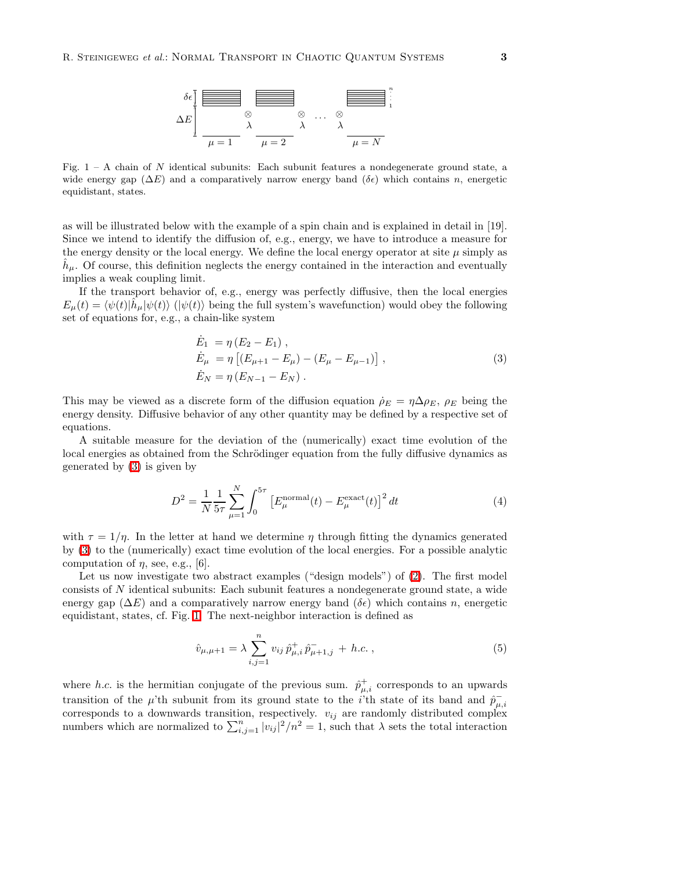## R. STEINIGEWEG *et al.*: NORMAL TRANSPORT IN CHAOTIC QUANTUM SYSTEMS 3



<span id="page-2-1"></span>Fig.  $1 - A$  chain of N identical subunits: Each subunit features a nondegenerate ground state, a wide energy gap ( $\Delta E$ ) and a comparatively narrow energy band ( $\delta \epsilon$ ) which contains n, energetic equidistant, states.

as will be illustrated below with the example of a spin chain and is explained in detail in [19]. Since we intend to identify the diffusion of, e.g., energy, we have to introduce a measure for the energy density or the local energy. We define the local energy operator at site  $\mu$  simply as  $\hat{h}_{\mu}$ . Of course, this definition neglects the energy contained in the interaction and eventually implies a weak coupling limit.

<span id="page-2-0"></span>If the transport behavior of, e.g., energy was perfectly diffusive, then the local energies  $E_{\mu}(t) = \langle \psi(t) | \hat{h}_{\mu} | \psi(t) \rangle$  ( $|\psi(t) \rangle$ ) being the full system's wavefunction) would obey the following set of equations for, e.g., a chain-like system

$$
\dot{E}_1 = \eta (E_2 - E_1), \n\dot{E}_\mu = \eta [(E_{\mu+1} - E_\mu) - (E_\mu - E_{\mu-1})], \n\dot{E}_N = \eta (E_{N-1} - E_N).
$$
\n(3)

This may be viewed as a discrete form of the diffusion equation  $\rho_E = \eta \Delta \rho_E$ ,  $\rho_E$  being the energy density. Diffusive behavior of any other quantity may be defined by a respective set of equations.

<span id="page-2-2"></span>A suitable measure for the deviation of the (numerically) exact time evolution of the local energies as obtained from the Schrödinger equation from the fully diffusive dynamics as generated by [\(3\)](#page-2-0) is given by

$$
D^{2} = \frac{1}{N} \frac{1}{5\tau} \sum_{\mu=1}^{N} \int_{0}^{5\tau} \left[ E_{\mu}^{\text{normal}}(t) - E_{\mu}^{\text{exact}}(t) \right]^{2} dt \tag{4}
$$

with  $\tau = 1/\eta$ . In the letter at hand we determine  $\eta$  through fitting the dynamics generated by [\(3\)](#page-2-0) to the (numerically) exact time evolution of the local energies. For a possible analytic computation of  $\eta$ , see, e.g., [6].

Let us now investigate two abstract examples ("design models") of [\(2\)](#page-1-0). The first model consists of N identical subunits: Each subunit features a nondegenerate ground state, a wide energy gap ( $\Delta E$ ) and a comparatively narrow energy band ( $\delta \epsilon$ ) which contains n, energetic equidistant, states, cf. Fig. [1.](#page-2-1) The next-neighbor interaction is defined as

<span id="page-2-3"></span>
$$
\hat{v}_{\mu,\mu+1} = \lambda \sum_{i,j=1}^{n} v_{ij} \,\hat{p}^{+}_{\mu,i} \,\hat{p}^{-}_{\mu+1,j} + h.c. , \qquad (5)
$$

where h.c. is the hermitian conjugate of the previous sum.  $\hat{p}^+_{\mu,i}$  corresponds to an upwards transition of the  $\mu$ 'th subunit from its ground state to the *i*<sup>'th</sup> state of its band and  $\hat{p}_{\mu}^ _{\mu,i}$ corresponds to a downwards transition, respectively.  $v_{ij}$  are randomly distributed complex numbers which are normalized to  $\sum_{i,j=1}^{n} |v_{ij}|^2/n^2 = 1$ , such that  $\lambda$  sets the total interaction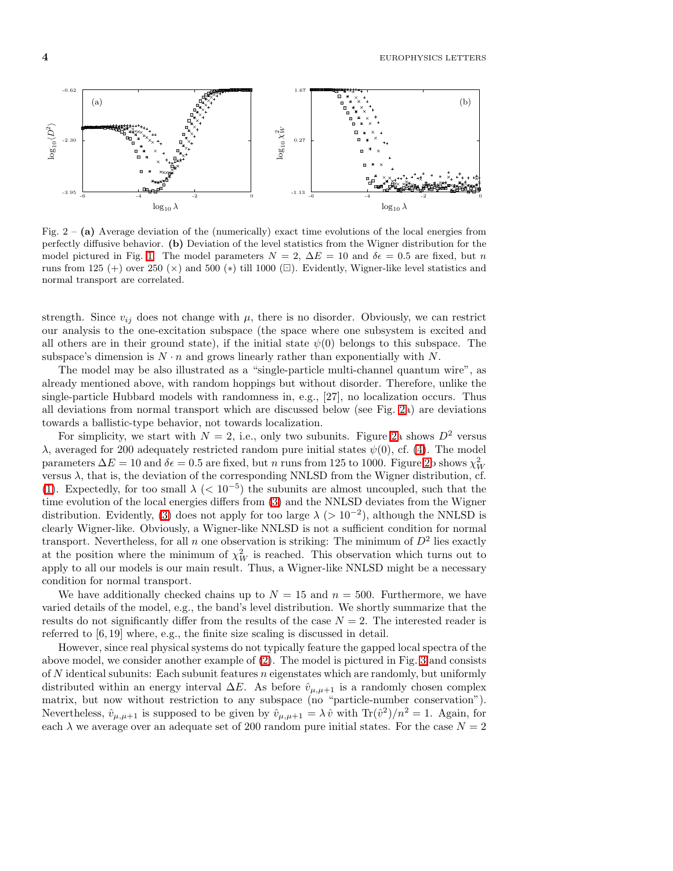4 EUROPHYSICS LETTERS



<span id="page-3-0"></span>Fig.  $2 - (a)$  Average deviation of the (numerically) exact time evolutions of the local energies from perfectly diffusive behavior. (b) Deviation of the level statistics from the Wigner distribution for the model pictured in Fig. [1.](#page-2-1) The model parameters  $N = 2$ ,  $\Delta E = 10$  and  $\delta \epsilon = 0.5$  are fixed, but n runs from 125 (+) over 250 ( $\times$ ) and 500 ( $\ast$ ) till 1000 ( $\Box$ ). Evidently, Wigner-like level statistics and normal transport are correlated.

strength. Since  $v_{ij}$  does not change with  $\mu$ , there is no disorder. Obviously, we can restrict our analysis to the one-excitation subspace (the space where one subsystem is excited and all others are in their ground state), if the initial state  $\psi(0)$  belongs to this subspace. The subspace's dimension is  $N \cdot n$  and grows linearly rather than exponentially with N.

The model may be also illustrated as a "single-particle multi-channel quantum wire", as already mentioned above, with random hoppings but without disorder. Therefore, unlike the single-particle Hubbard models with randomness in, e.g., [27], no localization occurs. Thus all deviations from normal transport which are discussed below (see Fig. [2a](#page-3-0)) are deviations towards a ballistic-type behavior, not towards localization.

For simplicity, we start with  $N = 2$ , i.e., only two subunits. Figure [2a](#page-3-0) shows  $D^2$  versus λ, averaged for 200 adequately restricted random pure initial states  $ψ(0)$ , cf. [\(4\)](#page-2-2). The model parameters  $\Delta E = 10$  and  $\delta \epsilon = 0.5$  are fixed, but n runs from 125 to 1000. Figure [2b](#page-3-0) shows  $\chi^2_W$ versus  $\lambda$ , that is, the deviation of the corresponding NNLSD from the Wigner distribution, cf. [\(1\)](#page-1-1). Expectedly, for too small  $\lambda$  (< 10<sup>-5</sup>) the subunits are almost uncoupled, such that the time evolution of the local energies differs from [\(3\)](#page-2-0) and the NNLSD deviates from the Wigner distribution. Evidently, [\(3\)](#page-2-0) does not apply for too large  $\lambda$  (> 10<sup>-2</sup>), although the NNLSD is clearly Wigner-like. Obviously, a Wigner-like NNLSD is not a sufficient condition for normal transport. Nevertheless, for all n one observation is striking: The minimum of  $D^2$  lies exactly at the position where the minimum of  $\chi^2_W$  is reached. This observation which turns out to apply to all our models is our main result. Thus, a Wigner-like NNLSD might be a necessary condition for normal transport.

We have additionally checked chains up to  $N = 15$  and  $n = 500$ . Furthermore, we have varied details of the model, e.g., the band's level distribution. We shortly summarize that the results do not significantly differ from the results of the case  $N = 2$ . The interested reader is referred to [6, 19] where, e.g., the finite size scaling is discussed in detail.

However, since real physical systems do not typically feature the gapped local spectra of the above model, we consider another example of [\(2\)](#page-1-0). The model is pictured in Fig. [3](#page-4-0) and consists of  $N$  identical subunits: Each subunit features  $n$  eigenstates which are randomly, but uniformly distributed within an energy interval  $\Delta E$ . As before  $\hat{v}_{\mu,\mu+1}$  is a randomly chosen complex matrix, but now without restriction to any subspace (no "particle-number conservation"). Nevertheless,  $\hat{v}_{\mu,\mu+1}$  is supposed to be given by  $\hat{v}_{\mu,\mu+1} = \lambda \hat{v}$  with  $\text{Tr}(\hat{v}^2)/n^2 = 1$ . Again, for each  $\lambda$  we average over an adequate set of 200 random pure initial states. For the case  $N = 2$ 

replacements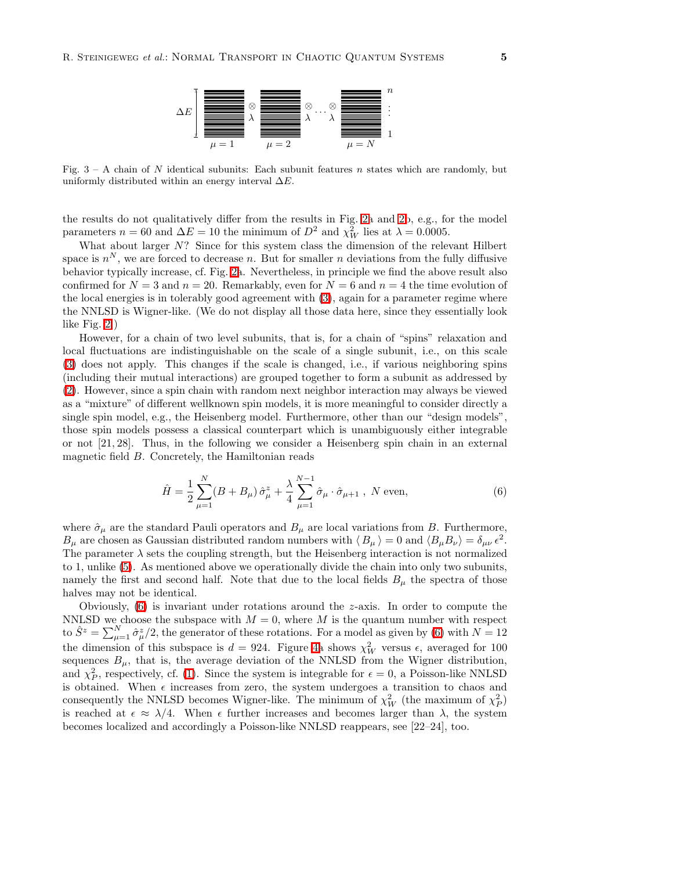R. STEINIGEWEG *et al.*: NORMAL TRANSPORT IN CHAOTIC QUANTUM SYSTEMS 5



<span id="page-4-0"></span>Fig.  $3 - A$  chain of N identical subunits: Each subunit features n states which are randomly, but uniformly distributed within an energy interval  $\Delta E$ .

the results do not qualitatively differ from the results in Fig. [2a](#page-3-0) and [2b](#page-3-0), e.g., for the model parameters  $n = 60$  and  $\Delta E = 10$  the minimum of  $D^2$  and  $\chi^2_W$  lies at  $\lambda = 0.0005$ .

What about larger N? Since for this system class the dimension of the relevant Hilbert space is  $n^N$ , we are forced to decrease n. But for smaller n deviations from the fully diffusive behavior typically increase, cf. Fig. [2a](#page-3-0). Nevertheless, in principle we find the above result also confirmed for  $N = 3$  and  $n = 20$ . Remarkably, even for  $N = 6$  and  $n = 4$  the time evolution of the local energies is in tolerably good agreement with [\(3\)](#page-2-0), again for a parameter regime where the NNLSD is Wigner-like. (We do not display all those data here, since they essentially look like Fig. [2.](#page-3-0))

However, for a chain of two level subunits, that is, for a chain of "spins" relaxation and local fluctuations are indistinguishable on the scale of a single subunit, i.e., on this scale [\(3\)](#page-2-0) does not apply. This changes if the scale is changed, i.e., if various neighboring spins (including their mutual interactions) are grouped together to form a subunit as addressed by [\(2\)](#page-1-0). However, since a spin chain with random next neighbor interaction may always be viewed as a "mixture" of different wellknown spin models, it is more meaningful to consider directly a single spin model, e.g., the Heisenberg model. Furthermore, other than our "design models", those spin models possess a classical counterpart which is unambiguously either integrable or not [21, 28]. Thus, in the following we consider a Heisenberg spin chain in an external magnetic field B. Concretely, the Hamiltonian reads

<span id="page-4-1"></span>
$$
\hat{H} = \frac{1}{2} \sum_{\mu=1}^{N} (B + B_{\mu}) \hat{\sigma}_{\mu}^{z} + \frac{\lambda}{4} \sum_{\mu=1}^{N-1} \hat{\sigma}_{\mu} \cdot \hat{\sigma}_{\mu+1} , N \text{ even}, \qquad (6)
$$

where  $\hat{\sigma}_{\mu}$  are the standard Pauli operators and  $B_{\mu}$  are local variations from B. Furthermore,  $B_{\mu}$  are chosen as Gaussian distributed random numbers with  $\langle B_{\mu} \rangle = 0$  and  $\langle B_{\mu} B_{\nu} \rangle = \delta_{\mu\nu} \epsilon^2$ . The parameter  $\lambda$  sets the coupling strength, but the Heisenberg interaction is not normalized to 1, unlike [\(5\)](#page-2-3). As mentioned above we operationally divide the chain into only two subunits, namely the first and second half. Note that due to the local fields  $B_{\mu}$  the spectra of those halves may not be identical.

Obviously,  $(6)$  is invariant under rotations around the *z*-axis. In order to compute the NNLSD we choose the subspace with  $M = 0$ , where M is the quantum number with respect to  $\hat{S}^z = \sum_{\mu=1}^N \hat{\sigma}_{\mu}^z/2$ , the generator of these rotations. For a model as given by [\(6\)](#page-4-1) with  $N=12$ the dimension of this subspace is  $d = 924$ . Figure [4a](#page-5-0) shows  $\chi^2_W$  versus  $\epsilon$ , averaged for 100 sequences  $B_{\mu}$ , that is, the average deviation of the NNLSD from the Wigner distribution, and  $\chi_P^2$ , respectively, cf. [\(1\)](#page-1-1). Since the system is integrable for  $\epsilon = 0$ , a Poisson-like NNLSD is obtained. When  $\epsilon$  increases from zero, the system undergoes a transition to chaos and consequently the NNLSD becomes Wigner-like. The minimum of  $\chi^2_W$  (the maximum of  $\chi^2_P$ ) is reached at  $\epsilon \approx \lambda/4$ . When  $\epsilon$  further increases and becomes larger than  $\lambda$ , the system becomes localized and accordingly a Poisson-like NNLSD reappears, see [22–24], too.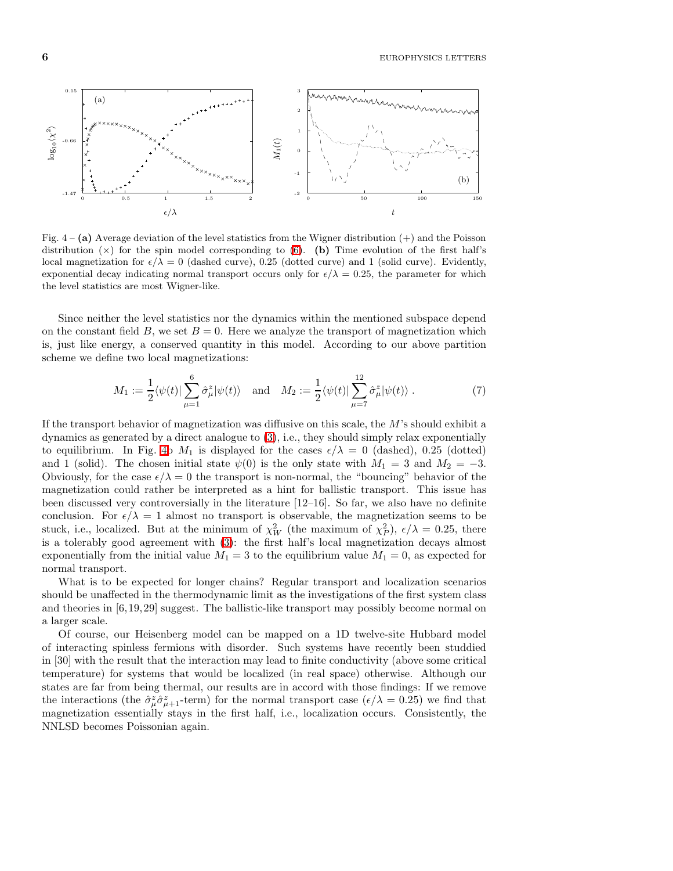6 EUROPHYSICS LETTERS



<span id="page-5-0"></span>Fig.  $4 - (a)$  Average deviation of the level statistics from the Wigner distribution  $(+)$  and the Poisson distribution  $(x)$  for the spin model corresponding to [\(6\)](#page-4-1). (b) Time evolution of the first half's local magnetization for  $\epsilon/\lambda = 0$  (dashed curve), 0.25 (dotted curve) and 1 (solid curve). Evidently, exponential decay indicating normal transport occurs only for  $\epsilon/\lambda = 0.25$ , the parameter for which the level statistics are most Wigner-like.

Since neither the level statistics nor the dynamics within the mentioned subspace depend on the constant field B, we set  $B = 0$ . Here we analyze the transport of magnetization which is, just like energy, a conserved quantity in this model. According to our above partition scheme we define two local magnetizations:

$$
M_1 := \frac{1}{2} \langle \psi(t) | \sum_{\mu=1}^6 \hat{\sigma}_{\mu}^z | \psi(t) \rangle \quad \text{and} \quad M_2 := \frac{1}{2} \langle \psi(t) | \sum_{\mu=7}^{12} \hat{\sigma}_{\mu}^z | \psi(t) \rangle . \tag{7}
$$

If the transport behavior of magnetization was diffusive on this scale, the M's should exhibit a dynamics as generated by a direct analogue to [\(3\)](#page-2-0), i.e., they should simply relax exponentially to equilibrium. In Fig. [4b](#page-5-0)  $M_1$  is displayed for the cases  $\epsilon/\lambda = 0$  (dashed), 0.25 (dotted) and 1 (solid). The chosen initial state  $\psi(0)$  is the only state with  $M_1 = 3$  and  $M_2 = -3$ . Obviously, for the case  $\epsilon/\lambda = 0$  the transport is non-normal, the "bouncing" behavior of the magnetization could rather be interpreted as a hint for ballistic transport. This issue has been discussed very controversially in the literature [12–16]. So far, we also have no definite conclusion. For  $\epsilon/\lambda = 1$  almost no transport is observable, the magnetization seems to be stuck, i.e., localized. But at the minimum of  $\chi^2_W$  (the maximum of  $\chi^2_P$ ),  $\epsilon/\lambda = 0.25$ , there is a tolerably good agreement with [\(3\)](#page-2-0): the first half's local magnetization decays almost exponentially from the initial value  $M_1 = 3$  to the equilibrium value  $M_1 = 0$ , as expected for normal transport.

What is to be expected for longer chains? Regular transport and localization scenarios should be unaffected in the thermodynamic limit as the investigations of the first system class and theories in [6,19,29] suggest. The ballistic-like transport may possibly become normal on a larger scale.

Of course, our Heisenberg model can be mapped on a 1D twelve-site Hubbard model of interacting spinless fermions with disorder. Such systems have recently been studdied in [30] with the result that the interaction may lead to finite conductivity (above some critical temperature) for systems that would be localized (in real space) otherwise. Although our states are far from being thermal, our results are in accord with those findings: If we remove the interactions (the  $\hat{\sigma}_{\mu}^{z}\hat{\sigma}_{\mu+1}^{z}$ -term) for the normal transport case  $(\epsilon/\lambda = 0.25)$  we find that magnetization essentially stays in the first half, i.e., localization occurs. Consistently, the NNLSD becomes Poissonian again.

replacements